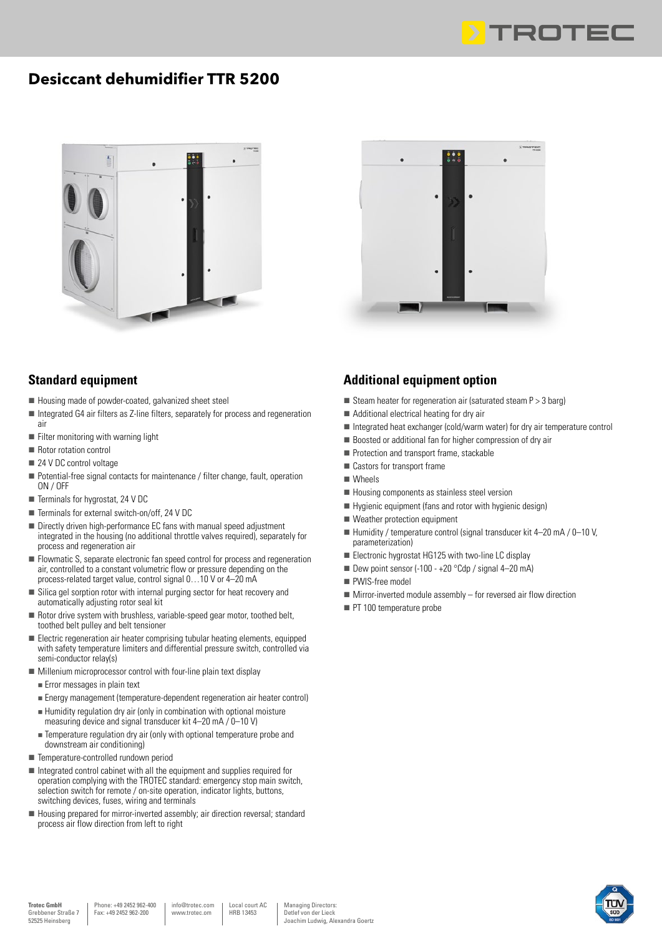

## **Desiccant dehumidifier TTR 5200**





- Housing made of powder-coated, galvanized sheet steel
- $\blacksquare$  Integrated G4 air filters as Z-line filters, separately for process and regeneration air
- $\blacksquare$  Filter monitoring with warning light
- Rotor rotation control
- $\blacksquare$  24 V DC control voltage
- Potential-free signal contacts for maintenance / filter change, fault, operation ON / OFF
- $\blacksquare$  Terminals for hygrostat, 24 V DC
- $\blacksquare$  Terminals for external switch-on/off, 24 V DC
- Directly driven high-performance EC fans with manual speed adjustment integrated in the housing (no additional throttle valves required), separately for process and regeneration air
- Flowmatic S, separate electronic fan speed control for process and regeneration air, controlled to a constant volumetric flow or pressure depending on the process-related target value, control signal 0…10 V or 4–20 mA
- Silica gel sorption rotor with internal purging sector for heat recovery and automatically adjusting rotor seal kit
- $\blacksquare$  Rotor drive system with brushless, variable-speed gear motor, toothed belt, toothed belt pulley and belt tensioner
- Electric regeneration air heater comprising tubular heating elements, equipped with safety temperature limiters and differential pressure switch, controlled via semi-conductor relay(s)
- $\blacksquare$  Millenium microprocessor control with four-line plain text display
	- n Error messages in plain text
- n Energy management (temperature-dependent regeneration air heater control)  $\blacksquare$  Humidity regulation dry air (only in combination with optional moisture
- measuring device and signal transducer kit 4–20 mA / 0–10 V)
- **n** Temperature regulation dry air (only with optional temperature probe and downstream air conditioning)
- Temperature-controlled rundown period
- $\blacksquare$  Integrated control cabinet with all the equipment and supplies required for operation complying with the TROTEC standard: emergency stop main switch, selection switch for remote / on-site operation, indicator lights, buttons, switching devices, fuses, wiring and terminals
- $\blacksquare$  Housing prepared for mirror-inverted assembly; air direction reversal; standard process air flow direction from left to right



## **Additional equipment option**

- Steam heater for regeneration air (saturated steam  $P > 3$  barg)
- $\blacksquare$  Additional electrical heating for dry air
- Integrated heat exchanger (cold/warm water) for dry air temperature control
- $\blacksquare$  Boosted or additional fan for higher compression of dry air
- Protection and transport frame, stackable
- Castors for transport frame
- Wheels
- Housing components as stainless steel version
- $\blacksquare$  Hygienic equipment (fans and rotor with hygienic design)
- Weather protection equipment
- $\blacksquare$  Humidity / temperature control (signal transducer kit 4–20 mA / 0–10 V, parameterization)
- Electronic hygrostat HG125 with two-line LC display
- Dew point sensor (-100  $+20$  °Cdp / signal 4–20 mA)
- PWIS-free model
- $\blacksquare$  Mirror-inverted module assembly for reversed air flow direction
- $\blacksquare$  PT 100 temperature probe

info@trotec.com www.trotec.om

Local court AC HRB 13453

Managing Directors: Detlef von der Lieck Joachim Ludwig, Alexandra Goertz